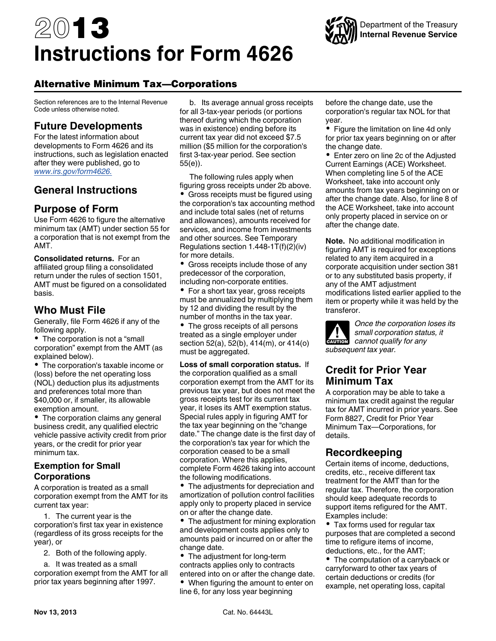# 2013 **Instructions for Form 4626**



# Alternative Minimum Tax—Corporations

Section references are to the Internal Revenue Code unless otherwise noted.

# **Future Developments**

For the latest information about developments to Form 4626 and its instructions, such as legislation enacted after they were published, go to *[www.irs.gov/form4626.](http://www.irs.gov/form4626)*

# **General Instructions**

# **Purpose of Form**

Use Form 4626 to figure the alternative minimum tax (AMT) under section 55 for a corporation that is not exempt from the AMT.

**Consolidated returns.** For an affiliated group filing a consolidated return under the rules of section 1501, AMT must be figured on a consolidated basis.

# **Who Must File**

Generally, file Form 4626 if any of the following apply.

• The corporation is not a "small corporation" exempt from the AMT (as explained below).

The corporation's taxable income or (loss) before the net operating loss (NOL) deduction plus its adjustments and preferences total more than \$40,000 or, if smaller, its allowable exemption amount.

• The corporation claims any general business credit, any qualified electric vehicle passive activity credit from prior years, or the credit for prior year minimum tax.

## **Exemption for Small Corporations**

A corporation is treated as a small corporation exempt from the AMT for its current tax year:

1. The current year is the corporation's first tax year in existence (regardless of its gross receipts for the year), or

2. Both of the following apply.

a. It was treated as a small corporation exempt from the AMT for all prior tax years beginning after 1997.

b. Its average annual gross receipts for all 3-tax-year periods (or portions thereof during which the corporation was in existence) ending before its current tax year did not exceed \$7.5 million (\$5 million for the corporation's first 3-tax-year period. See section 55(e)).

The following rules apply when figuring gross receipts under 2b above. • Gross receipts must be figured using the corporation's tax accounting method and include total sales (net of returns and allowances), amounts received for services, and income from investments and other sources. See Temporary Regulations section 1.448-1T(f)(2)(iv) for more details.

• Gross receipts include those of any predecessor of the corporation, including non-corporate entities.

• For a short tax year, gross receipts must be annualized by multiplying them by 12 and dividing the result by the number of months in the tax year.

• The gross receipts of all persons treated as a single employer under section 52(a), 52(b), 414(m), or 414(o) must be aggregated.

#### **Loss of small corporation status.** If the corporation qualified as a small corporation exempt from the AMT for its previous tax year, but does not meet the gross receipts test for its current tax year, it loses its AMT exemption status. Special rules apply in figuring AMT for the tax year beginning on the "change date." The change date is the first day of the corporation's tax year for which the corporation ceased to be a small corporation. Where this applies, complete Form 4626 taking into account the following modifications.

The adjustments for depreciation and amortization of pollution control facilities apply only to property placed in service on or after the change date.

• The adjustment for mining exploration and development costs applies only to amounts paid or incurred on or after the change date.

• The adjustment for long-term contracts applies only to contracts entered into on or after the change date.

• When figuring the amount to enter on line 6, for any loss year beginning

before the change date, use the corporation's regular tax NOL for that year.

• Figure the limitation on line 4d only for prior tax years beginning on or after the change date.

• Enter zero on line 2c of the Adjusted Current Earnings (ACE) Worksheet. When completing line 5 of the ACE Worksheet, take into account only amounts from tax years beginning on or after the change date. Also, for line 8 of the ACE Worksheet, take into account only property placed in service on or after the change date.

**Note.** No additional modification in figuring AMT is required for exceptions related to any item acquired in a corporate acquisition under section 381 or to any substituted basis property, if any of the AMT adjustment modifications listed earlier applied to the item or property while it was held by the transferor.

*Once the corporation loses its small corporation status, it*  **cannot** qualify for any **cannot** qualify for any *subsequent tax year.*

# **Credit for Prior Year Minimum Tax**

A corporation may be able to take a minimum tax credit against the regular tax for AMT incurred in prior years. See Form 8827, Credit for Prior Year Minimum Tax—Corporations, for details.

# **Recordkeeping**

Certain items of income, deductions, credits, etc., receive different tax treatment for the AMT than for the regular tax. Therefore, the corporation should keep adequate records to support items refigured for the AMT. Examples include:

Tax forms used for regular tax purposes that are completed a second time to refigure items of income, deductions, etc., for the AMT;

• The computation of a carryback or carryforward to other tax years of certain deductions or credits (for example, net operating loss, capital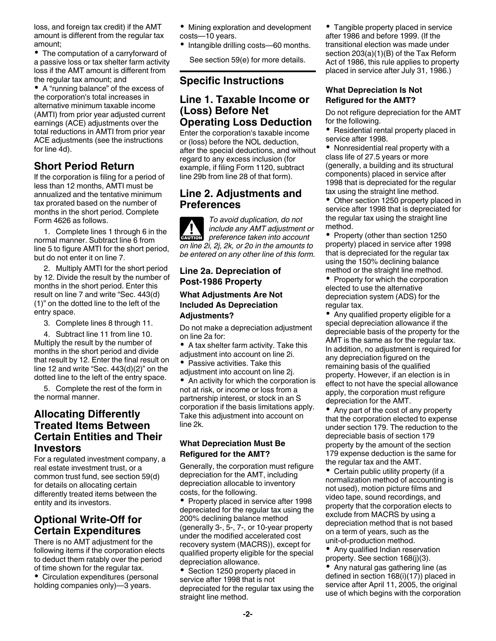loss, and foreign tax credit) if the AMT amount is different from the regular tax amount;

• The computation of a carryforward of a passive loss or tax shelter farm activity loss if the AMT amount is different from the regular tax amount; and

A "running balance" of the excess of the corporation's total increases in alternative minimum taxable income (AMTI) from prior year adjusted current earnings (ACE) adjustments over the total reductions in AMTI from prior year ACE adjustments (see the instructions for line 4d).

# **Short Period Return**

If the corporation is filing for a period of less than 12 months, AMTI must be annualized and the tentative minimum tax prorated based on the number of months in the short period. Complete Form 4626 as follows.

1. Complete lines 1 through 6 in the normal manner. Subtract line 6 from line 5 to figure AMTI for the short period, but do not enter it on line 7.

2. Multiply AMTI for the short period by 12. Divide the result by the number of months in the short period. Enter this result on line 7 and write "Sec. 443(d) (1)" on the dotted line to the left of the entry space.

3. Complete lines 8 through 11.

4. Subtract line 11 from line 10. Multiply the result by the number of months in the short period and divide that result by 12. Enter the final result on line 12 and write "Sec. 443(d)(2)" on the dotted line to the left of the entry space.

5. Complete the rest of the form in the normal manner.

## **Allocating Differently Treated Items Between Certain Entities and Their Investors**

For a regulated investment company, a real estate investment trust, or a common trust fund, see section 59(d) for details on allocating certain differently treated items between the entity and its investors.

# **Optional Write-Off for Certain Expenditures**

There is no AMT adjustment for the following items if the corporation elects to deduct them ratably over the period of time shown for the regular tax.

Circulation expenditures (personal holding companies only)—3 years.

- Mining exploration and development costs—10 years.
- Intangible drilling costs—60 months.

See section 59(e) for more details.

## **Specific Instructions**

## **Line 1. Taxable Income or (Loss) Before Net Operating Loss Deduction**

Enter the corporation's taxable income or (loss) before the NOL deduction, after the special deductions, and without regard to any excess inclusion (for example, if filing Form 1120, subtract line 29b from line 28 of that form).

## **Line 2. Adjustments and Preferences**

*To avoid duplication, do not include any AMT adjustment or*  **preference taken into account**<br> **preference taken into account** *on line 2i, 2j, 2k, or 2o in the amounts to be entered on any other line of this form.*

### **Line 2a. Depreciation of Post-1986 Property**

#### **What Adjustments Are Not Included As Depreciation Adjustments?**

Do not make a depreciation adjustment on line 2a for:

- A tax shelter farm activity. Take this adjustment into account on line 2i.
- Passive activities. Take this adjustment into account on line 2j.

 $\bullet$ An activity for which the corporation is not at risk, or income or loss from a partnership interest, or stock in an S corporation if the basis limitations apply. Take this adjustment into account on line 2k.

### **What Depreciation Must Be Refigured for the AMT?**

Generally, the corporation must refigure depreciation for the AMT, including depreciation allocable to inventory costs, for the following.

• Property placed in service after 1998 depreciated for the regular tax using the 200% declining balance method (generally 3-, 5-, 7-, or 10-year property under the modified accelerated cost recovery system (MACRS)), except for qualified property eligible for the special depreciation allowance.

• Section 1250 property placed in service after 1998 that is not depreciated for the regular tax using the straight line method.

• Tangible property placed in service after 1986 and before 1999. (If the transitional election was made under section 203(a)(1)(B) of the Tax Reform Act of 1986, this rule applies to property placed in service after July 31, 1986.)

#### **What Depreciation Is Not Refigured for the AMT?**

Do not refigure depreciation for the AMT for the following.

• Residential rental property placed in service after 1998.

Nonresidential real property with a class life of 27.5 years or more (generally, a building and its structural components) placed in service after 1998 that is depreciated for the regular tax using the straight line method.

• Other section 1250 property placed in service after 1998 that is depreciated for the regular tax using the straight line method.

• Property (other than section 1250 property) placed in service after 1998 that is depreciated for the regular tax using the 150% declining balance method or the straight line method.

• Property for which the corporation elected to use the alternative depreciation system (ADS) for the regular tax.

• Any qualified property eligible for a special depreciation allowance if the depreciable basis of the property for the AMT is the same as for the regular tax. In addition, no adjustment is required for any depreciation figured on the remaining basis of the qualified property. However, if an election is in effect to not have the special allowance apply, the corporation must refigure depreciation for the AMT.

Any part of the cost of any property that the corporation elected to expense under section 179. The reduction to the depreciable basis of section 179 property by the amount of the section 179 expense deduction is the same for the regular tax and the AMT.

• Certain public utility property (if a normalization method of accounting is not used), motion picture films and video tape, sound recordings, and property that the corporation elects to exclude from MACRS by using a depreciation method that is not based on a term of years, such as the unit-of-production method.

• Any qualified Indian reservation property. See section 168(j)(3).

Any natural gas gathering line (as defined in section 168(i)(17)) placed in service after April 11, 2005, the original use of which begins with the corporation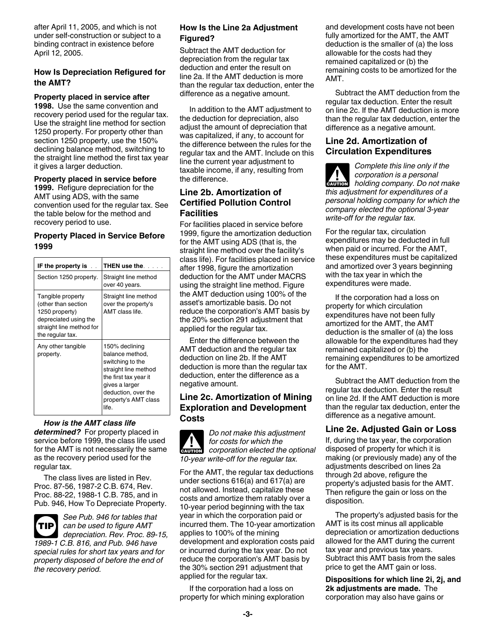after April 11, 2005, and which is not under self-construction or subject to a binding contract in existence before April 12, 2005.

#### **How Is Depreciation Refigured for the AMT?**

#### **Property placed in service after**

**1998.** Use the same convention and recovery period used for the regular tax. Use the straight line method for section 1250 property. For property other than section 1250 property, use the 150% declining balance method, switching to the straight line method the first tax year it gives a larger deduction.

**Property placed in service before 1999.** Refigure depreciation for the AMT using ADS, with the same convention used for the regular tax. See the table below for the method and recovery period to use.

### **Property Placed in Service Before 1999**

| IF the property is.                                                                                                                 | THEN use the <b>THEN</b>                                                                                                                                                         |
|-------------------------------------------------------------------------------------------------------------------------------------|----------------------------------------------------------------------------------------------------------------------------------------------------------------------------------|
| Section 1250 property.                                                                                                              | Straight line method<br>over 40 years.                                                                                                                                           |
| Tangible property<br>(other than section<br>1250 property)<br>depreciated using the<br>straight line method for<br>the regular tax. | Straight line method<br>over the property's<br>AMT class life.                                                                                                                   |
| Any other tangible<br>property.                                                                                                     | 150% declining<br>balance method,<br>switching to the<br>straight line method<br>the first tax year it<br>gives a larger<br>deduction, over the<br>property's AMT class<br>life. |

#### *How is the AMT class life*

*determined?* For property placed in service before 1999, the class life used for the AMT is not necessarily the same as the recovery period used for the regular tax.

The class lives are listed in Rev. Proc. 87-56, 1987-2 C.B. 674, Rev. Proc. 88-22, 1988-1 C.B. 785, and in Pub. 946, How To Depreciate Property.



*See Pub. 946 for tables that can be used to figure AMT depreciation. Rev. Proc. 89-15,* 

*1989-1 C.B. 816, and Pub. 946 have special rules for short tax years and for property disposed of before the end of the recovery period.*

#### **How Is the Line 2a Adjustment Figured?**

Subtract the AMT deduction for depreciation from the regular tax deduction and enter the result on line 2a. If the AMT deduction is more than the regular tax deduction, enter the difference as a negative amount.

In addition to the AMT adjustment to the deduction for depreciation, also adjust the amount of depreciation that was capitalized, if any, to account for the difference between the rules for the regular tax and the AMT. Include on this line the current year adjustment to taxable income, if any, resulting from the difference.

#### **Line 2b. Amortization of Certified Pollution Control Facilities**

For facilities placed in service before 1999, figure the amortization deduction for the AMT using ADS (that is, the straight line method over the facility's class life). For facilities placed in service after 1998, figure the amortization deduction for the AMT under MACRS using the straight line method. Figure the AMT deduction using 100% of the asset's amortizable basis. Do not reduce the corporation's AMT basis by the 20% section 291 adjustment that applied for the regular tax.

Enter the difference between the AMT deduction and the regular tax deduction on line 2b. If the AMT deduction is more than the regular tax deduction, enter the difference as a negative amount.

#### **Line 2c. Amortization of Mining Exploration and Development Costs**



For the AMT, the regular tax deductions under sections 616(a) and 617(a) are not allowed. Instead, capitalize these costs and amortize them ratably over a 10-year period beginning with the tax year in which the corporation paid or incurred them. The 10-year amortization applies to 100% of the mining development and exploration costs paid or incurred during the tax year. Do not reduce the corporation's AMT basis by the 30% section 291 adjustment that applied for the regular tax.

If the corporation had a loss on property for which mining exploration and development costs have not been fully amortized for the AMT, the AMT deduction is the smaller of (a) the loss allowable for the costs had they remained capitalized or (b) the remaining costs to be amortized for the AMT.

Subtract the AMT deduction from the regular tax deduction. Enter the result on line 2c. If the AMT deduction is more than the regular tax deduction, enter the difference as a negative amount.

## **Line 2d. Amortization of Circulation Expenditures**

*Complete this line only if the corporation is a personal*  **holding company. Do not make** <br> **CAUTION** holding company. Do not make *this adjustment for expenditures of a personal holding company for which the company elected the optional 3-year write-off for the regular tax.*

For the regular tax, circulation expenditures may be deducted in full when paid or incurred. For the AMT, these expenditures must be capitalized and amortized over 3 years beginning with the tax year in which the expenditures were made.

If the corporation had a loss on property for which circulation expenditures have not been fully amortized for the AMT, the AMT deduction is the smaller of (a) the loss allowable for the expenditures had they remained capitalized or (b) the remaining expenditures to be amortized for the AMT.

Subtract the AMT deduction from the regular tax deduction. Enter the result on line 2d. If the AMT deduction is more than the regular tax deduction, enter the difference as a negative amount.

## **Line 2e. Adjusted Gain or Loss**

If, during the tax year, the corporation disposed of property for which it is making (or previously made) any of the adjustments described on lines 2a through 2d above, refigure the property's adjusted basis for the AMT. Then refigure the gain or loss on the disposition.

The property's adjusted basis for the AMT is its cost minus all applicable depreciation or amortization deductions allowed for the AMT during the current tax year and previous tax years. Subtract this AMT basis from the sales price to get the AMT gain or loss.

**Dispositions for which line 2i, 2j, and 2k adjustments are made.** The corporation may also have gains or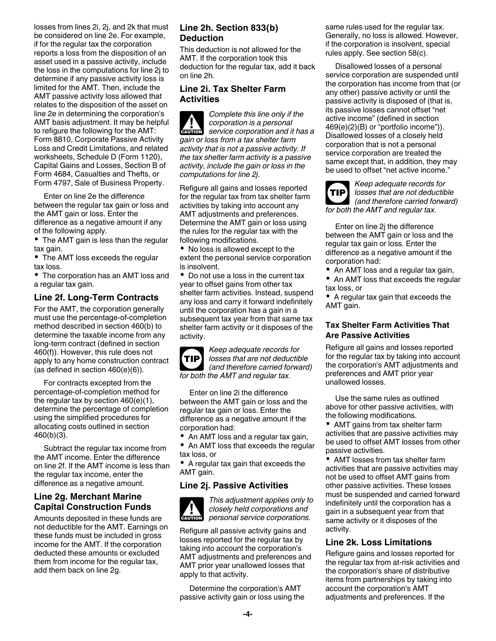losses from lines 2i, 2j, and 2k that must be considered on line 2e. For example, if for the regular tax the corporation reports a loss from the disposition of an asset used in a passive activity, include the loss in the computations for line 2j to determine if any passive activity loss is limited for the AMT. Then, include the AMT passive activity loss allowed that relates to the disposition of the asset on line 2e in determining the corporation's AMT basis adjustment. It may be helpful to refigure the following for the AMT: Form 8810, Corporate Passive Activity Loss and Credit Limitations, and related worksheets, Schedule D (Form 1120), Capital Gains and Losses, Section B of Form 4684, Casualties and Thefts, or Form 4797, Sale of Business Property.

Enter on line 2e the difference between the regular tax gain or loss and the AMT gain or loss. Enter the difference as a negative amount if any of the following apply.

• The AMT gain is less than the regular tax gain.

• The AMT loss exceeds the regular tax loss.

The corporation has an AMT loss and a regular tax gain.

## **Line 2f. Long-Term Contracts**

For the AMT, the corporation generally must use the percentage-of-completion method described in section 460(b) to determine the taxable income from any long-term contract (defined in section 460(f)). However, this rule does not apply to any home construction contract (as defined in section 460(e)(6)).

For contracts excepted from the percentage-of-completion method for the regular tax by section 460(e)(1), determine the percentage of completion using the simplified procedures for allocating costs outlined in section 460(b)(3).

Subtract the regular tax income from the AMT income. Enter the difference on line 2f. If the AMT income is less than the regular tax income, enter the difference as a negative amount.

## **Line 2g. Merchant Marine Capital Construction Funds**

Amounts deposited in these funds are not deductible for the AMT. Earnings on these funds must be included in gross income for the AMT. If the corporation deducted these amounts or excluded them from income for the regular tax, add them back on line 2g.

## **Line 2h. Section 833(b) Deduction**

This deduction is not allowed for the AMT. If the corporation took this deduction for the regular tax, add it back on line 2h.

### **Line 2i. Tax Shelter Farm Activities**

*Complete this line only if the corporation is a personal service corporation and it has a gain or loss from a tax shelter farm activity that is not a passive activity. If the tax shelter farm activity is a passive activity, include the gain or loss in the computations for line 2j.* **ALUTION** 

Refigure all gains and losses reported for the regular tax from tax shelter farm activities by taking into account any AMT adjustments and preferences. Determine the AMT gain or loss using the rules for the regular tax with the following modifications.

• No loss is allowed except to the extent the personal service corporation is insolvent.

• Do not use a loss in the current tax year to offset gains from other tax shelter farm activities. Instead, suspend any loss and carry it forward indefinitely until the corporation has a gain in a subsequent tax year from that same tax shelter farm activity or it disposes of the activity.

*Keep adequate records for losses that are not deductible (and therefore carried forward) for both the AMT and regular tax.* **TIP**

Enter on line 2i the difference between the AMT gain or loss and the regular tax gain or loss. Enter the difference as a negative amount if the corporation had:

• An AMT loss and a regular tax gain,

• An AMT loss that exceeds the regular tax loss, or

A regular tax gain that exceeds the AMT gain.

## **Line 2j. Passive Activities**



*This adjustment applies only to closely held corporations and personal service corporations.*

Refigure all passive activity gains and losses reported for the regular tax by taking into account the corporation's AMT adjustments and preferences and AMT prior year unallowed losses that apply to that activity.

Determine the corporation's AMT passive activity gain or loss using the same rules used for the regular tax. Generally, no loss is allowed. However, if the corporation is insolvent, special rules apply. See section 58(c).

Disallowed losses of a personal service corporation are suspended until the corporation has income from that (or any other) passive activity or until the passive activity is disposed of (that is, its passive losses cannot offset "net active income" (defined in section 469(e)(2)(B) or "portfolio income")). Disallowed losses of a closely held corporation that is not a personal service corporation are treated the same except that, in addition, they may be used to offset "net active income."



*Keep adequate records for losses that are not deductible (and therefore carried forward) for both the AMT and regular tax.*

Enter on line 2j the difference between the AMT gain or loss and the regular tax gain or loss. Enter the difference as a negative amount if the corporation had:

- An AMT loss and a regular tax gain,
- An AMT loss that exceeds the regular tax loss, or

A regular tax gain that exceeds the AMT gain.

### **Tax Shelter Farm Activities That Are Passive Activities**

Refigure all gains and losses reported for the regular tax by taking into account the corporation's AMT adjustments and preferences and AMT prior year unallowed losses.

Use the same rules as outlined above for other passive activities, with the following modifications.

٠ AMT gains from tax shelter farm activities that are passive activities may be used to offset AMT losses from other passive activities.

AMT losses from tax shelter farm activities that are passive activities may not be used to offset AMT gains from other passive activities. These losses must be suspended and carried forward indefinitely until the corporation has a gain in a subsequent year from that same activity or it disposes of the activity.

## **Line 2k. Loss Limitations**

Refigure gains and losses reported for the regular tax from at-risk activities and the corporation's share of distributive items from partnerships by taking into account the corporation's AMT adjustments and preferences. If the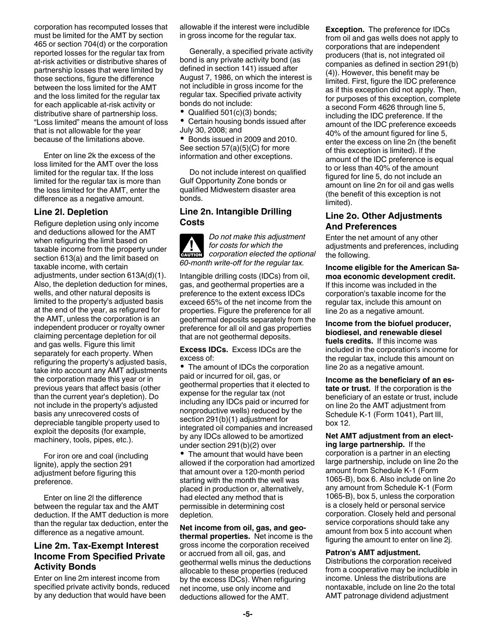corporation has recomputed losses that must be limited for the AMT by section 465 or section 704(d) or the corporation reported losses for the regular tax from at-risk activities or distributive shares of partnership losses that were limited by those sections, figure the difference between the loss limited for the AMT and the loss limited for the regular tax for each applicable at-risk activity or distributive share of partnership loss. "Loss limited" means the amount of loss that is not allowable for the year because of the limitations above.

Enter on line 2k the excess of the loss limited for the AMT over the loss limited for the regular tax. If the loss limited for the regular tax is more than the loss limited for the AMT, enter the difference as a negative amount.

#### **Line 2l. Depletion**

Refigure depletion using only income and deductions allowed for the AMT when refiguring the limit based on taxable income from the property under section 613(a) and the limit based on taxable income, with certain adjustments, under section 613A(d)(1). Also, the depletion deduction for mines, wells, and other natural deposits is limited to the property's adjusted basis at the end of the year, as refigured for the AMT, unless the corporation is an independent producer or royalty owner claiming percentage depletion for oil and gas wells. Figure this limit separately for each property. When refiguring the property's adjusted basis, take into account any AMT adjustments the corporation made this year or in previous years that affect basis (other than the current year's depletion). Do not include in the property's adjusted basis any unrecovered costs of depreciable tangible property used to exploit the deposits (for example, machinery, tools, pipes, etc.).

For iron ore and coal (including lignite), apply the section 291 adjustment before figuring this preference.

Enter on line 2l the difference between the regular tax and the AMT deduction. If the AMT deduction is more than the regular tax deduction, enter the difference as a negative amount.

## **Line 2m. Tax-Exempt Interest Income From Specified Private Activity Bonds**

Enter on line 2m interest income from specified private activity bonds, reduced by any deduction that would have been

allowable if the interest were includible in gross income for the regular tax.

Generally, a specified private activity bond is any private activity bond (as defined in section 141) issued after August 7, 1986, on which the interest is not includible in gross income for the regular tax. Specified private activity bonds do not include:

• Qualified 501(c)(3) bonds;

Certain housing bonds issued after July 30, 2008; and

• Bonds issued in 2009 and 2010. See section 57(a)(5)(C) for more information and other exceptions.

Do not include interest on qualified Gulf Opportunity Zone bonds or qualified Midwestern disaster area bonds.

#### **Line 2n. Intangible Drilling Costs**

*Do not make this adjustment for costs for which the*  **c** for costs for which the<br> **CAUTION** *COPPORATION elected the optional 60-month write-off for the regular tax.*

Intangible drilling costs (IDCs) from oil, gas, and geothermal properties are a preference to the extent excess IDCs exceed 65% of the net income from the properties. Figure the preference for all geothermal deposits separately from the preference for all oil and gas properties that are not geothermal deposits.

**Excess IDCs.** Excess IDCs are the excess of:

• The amount of IDCs the corporation paid or incurred for oil, gas, or geothermal properties that it elected to expense for the regular tax (not including any IDCs paid or incurred for nonproductive wells) reduced by the section 291(b)(1) adjustment for integrated oil companies and increased by any IDCs allowed to be amortized under section 291(b)(2) over

• The amount that would have been allowed if the corporation had amortized that amount over a 120-month period starting with the month the well was placed in production or, alternatively, had elected any method that is permissible in determining cost depletion.

**Net income from oil, gas, and geothermal properties.** Net income is the gross income the corporation received or accrued from all oil, gas, and geothermal wells minus the deductions allocable to these properties (reduced by the excess IDCs). When refiguring net income, use only income and deductions allowed for the AMT.

**Exception.** The preference for IDCs from oil and gas wells does not apply to corporations that are independent producers (that is, not integrated oil companies as defined in section 291(b) (4)). However, this benefit may be limited. First, figure the IDC preference as if this exception did not apply. Then, for purposes of this exception, complete a second Form 4626 through line 5, including the IDC preference. If the amount of the IDC preference exceeds 40% of the amount figured for line 5, enter the excess on line 2n (the benefit of this exception is limited). If the amount of the IDC preference is equal to or less than 40% of the amount figured for line 5, do not include an amount on line 2n for oil and gas wells (the benefit of this exception is not limited).

### **Line 2o. Other Adjustments And Preferences**

Enter the net amount of any other adjustments and preferences, including the following.

## **Income eligible for the American Samoa economic development credit.**

If this income was included in the corporation's taxable income for the regular tax, include this amount on line 2o as a negative amount.

**Income from the biofuel producer, biodiesel, and renewable diesel fuels credits.** If this income was included in the corporation's income for the regular tax, include this amount on line 2o as a negative amount.

**Income as the beneficiary of an estate or trust.** If the corporation is the beneficiary of an estate or trust, include on line 2o the AMT adjustment from Schedule K-1 (Form 1041), Part III, box 12.

#### **Net AMT adjustment from an electing large partnership.** If the

corporation is a partner in an electing large partnership, include on line 2o the amount from Schedule K-1 (Form 1065-B), box 6. Also include on line 2o any amount from Schedule K-1 (Form 1065-B), box 5, unless the corporation is a closely held or personal service corporation. Closely held and personal service corporations should take any amount from box 5 into account when figuring the amount to enter on line 2j.

#### **Patron's AMT adjustment.**

Distributions the corporation received from a cooperative may be includible in income. Unless the distributions are nontaxable, include on line 2o the total AMT patronage dividend adjustment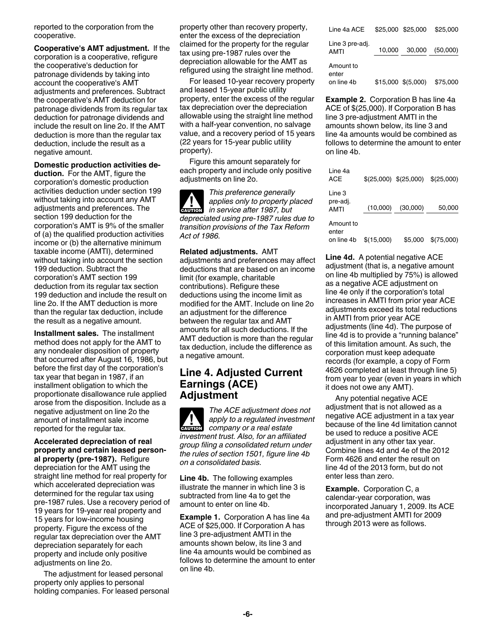reported to the corporation from the cooperative.

**Cooperative's AMT adjustment.** If the corporation is a cooperative, refigure the cooperative's deduction for patronage dividends by taking into account the cooperative's AMT adjustments and preferences. Subtract the cooperative's AMT deduction for patronage dividends from its regular tax deduction for patronage dividends and include the result on line 2o. If the AMT deduction is more than the regular tax deduction, include the result as a negative amount.

#### **Domestic production activities de-**

**duction.** For the AMT, figure the corporation's domestic production activities deduction under section 199 without taking into account any AMT adjustments and preferences. The section 199 deduction for the corporation's AMT is 9% of the smaller of (a) the qualified production activities income or (b) the alternative minimum taxable income (AMTI), determined without taking into account the section 199 deduction. Subtract the corporation's AMT section 199 deduction from its regular tax section 199 deduction and include the result on line 2o. If the AMT deduction is more than the regular tax deduction, include the result as a negative amount.

**Installment sales.** The installment method does not apply for the AMT to any nondealer disposition of property that occurred after August 16, 1986, but before the first day of the corporation's tax year that began in 1987, if an installment obligation to which the proportionate disallowance rule applied arose from the disposition. Include as a negative adjustment on line 2o the amount of installment sale income reported for the regular tax.

**Accelerated depreciation of real property and certain leased personal property (pre-1987).** Refigure depreciation for the AMT using the straight line method for real property for which accelerated depreciation was determined for the regular tax using pre-1987 rules. Use a recovery period of 19 years for 19-year real property and 15 years for low-income housing property. Figure the excess of the regular tax depreciation over the AMT depreciation separately for each property and include only positive adjustments on line 2o.

The adjustment for leased personal property only applies to personal holding companies. For leased personal property other than recovery property, enter the excess of the depreciation claimed for the property for the regular tax using pre-1987 rules over the depreciation allowable for the AMT as refigured using the straight line method.

For leased 10-year recovery property and leased 15-year public utility property, enter the excess of the regular tax depreciation over the depreciation allowable using the straight line method with a half-year convention, no salvage value, and a recovery period of 15 years (22 years for 15-year public utility property).

Figure this amount separately for each property and include only positive adjustments on line 2o.

*This preference generally applies only to property placed applies only to property p*<br> *in service after 1987, but depreciated using pre-1987 rules due to transition provisions of the Tax Reform Act of 1986.*

#### **Related adjustments.** AMT

adjustments and preferences may affect deductions that are based on an income limit (for example, charitable contributions). Refigure these deductions using the income limit as modified for the AMT. Include on line 2o an adjustment for the difference between the regular tax and AMT amounts for all such deductions. If the AMT deduction is more than the regular tax deduction, include the difference as a negative amount.

## **Line 4. Adjusted Current Earnings (ACE) Adjustment**

*The ACE adjustment does not apply to a regulated investment*  **courion** apply to a regulated investable company or a real estate *investment trust. Also, for an affiliated group filing a consolidated return under the rules of section 1501, figure line 4b on a consolidated basis.*

**Line 4b.** The following examples illustrate the manner in which line 3 is subtracted from line 4a to get the amount to enter on line 4b.

**Example 1.** Corporation A has line 4a ACE of \$25,000. If Corporation A has line 3 pre-adjustment AMTI in the amounts shown below, its line 3 and line 4a amounts would be combined as follows to determine the amount to enter on line 4b.

| Line 4a ACE                      |        | \$25,000 \$25,000    | \$25,000 |
|----------------------------------|--------|----------------------|----------|
| Line 3 pre-adj.<br><b>AMTI</b>   | 10,000 | 30,000               | (50,000) |
| Amount to<br>enter<br>on line 4b |        | $$15,000 \$ (5,000)$ | \$75,000 |

**Example 2.** Corporation B has line 4a ACE of \$(25,000). If Corporation B has line 3 pre-adjustment AMTI in the amounts shown below, its line 3 and line 4a amounts would be combined as follows to determine the amount to enter on line 4b.

| Line 4a<br><b>ACE</b>             |            | $$(25,000)$ $$(25,000)$ | \$(25,000) |
|-----------------------------------|------------|-------------------------|------------|
| Line 3<br>pre-adj.<br><b>AMTI</b> | (10,000)   | (30,000)                | 50,000     |
| Amount to<br>enter<br>on line 4b  | \$(15,000) | \$5,000                 | \$(75,000) |

**Line 4d.** A potential negative ACE adjustment (that is, a negative amount on line 4b multiplied by 75%) is allowed as a negative ACE adjustment on line 4e only if the corporation's total increases in AMTI from prior year ACE adjustments exceed its total reductions in AMTI from prior year ACE adjustments (line 4d). The purpose of line 4d is to provide a "running balance" of this limitation amount. As such, the corporation must keep adequate records (for example, a copy of Form 4626 completed at least through line 5) from year to year (even in years in which it does not owe any AMT).

Any potential negative ACE adjustment that is not allowed as a negative ACE adjustment in a tax year because of the line 4d limitation cannot be used to reduce a positive ACE adjustment in any other tax year. Combine lines 4d and 4e of the 2012 Form 4626 and enter the result on line 4d of the 2013 form, but do not enter less than zero.

**Example.** Corporation C, a calendar-year corporation, was incorporated January 1, 2009. Its ACE and pre-adjustment AMTI for 2009 through 2013 were as follows.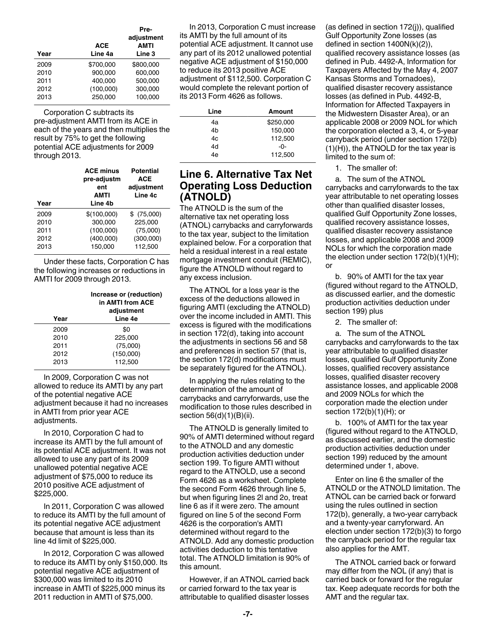|      | <b>ACE</b> | Pre-<br>adjustment<br><b>AMTI</b> |
|------|------------|-----------------------------------|
| Year | Line 4a    | Line 3                            |
| 2009 | \$700.000  | \$800,000                         |
| 2010 | 900.000    | 600.000                           |
| 2011 | 400.000    | 500,000                           |
| 2012 | (100,000)  | 300,000                           |
| 2013 | 250.000    | 100.000                           |

Corporation C subtracts its pre-adjustment AMTI from its ACE in each of the years and then multiplies the result by 75% to get the following potential ACE adjustments for 2009 through 2013.

| Year | <b>ACE minus</b><br>pre-adjustm<br>ent<br><b>AMTI</b><br>Line 4b | <b>Potential</b><br><b>ACE</b><br>adjustment<br>Line 4c |
|------|------------------------------------------------------------------|---------------------------------------------------------|
| 2009 | \$(100,000)                                                      | \$ (75,000)                                             |
| 2010 | 300,000                                                          | 225,000                                                 |
| 2011 | (100,000)                                                        | (75,000)                                                |
| 2012 | (400,000)                                                        | (300,000)                                               |
| 2013 | 150.000                                                          | 112.500                                                 |

Under these facts, Corporation C has the following increases or reductions in AMTI for 2009 through 2013.

|      | Increase or (reduction)<br>in AMTI from ACE<br>adjustment |  |  |
|------|-----------------------------------------------------------|--|--|
| Year | Line 4e                                                   |  |  |
| 2009 | \$0                                                       |  |  |
| 2010 | 225,000                                                   |  |  |
| 2011 | (75,000)                                                  |  |  |
| 2012 | (150,000)                                                 |  |  |
| 2013 | 112.500                                                   |  |  |

In 2009, Corporation C was not allowed to reduce its AMTI by any part of the potential negative ACE adjustment because it had no increases in AMTI from prior year ACE adjustments.

In 2010, Corporation C had to increase its AMTI by the full amount of its potential ACE adjustment. It was not allowed to use any part of its 2009 unallowed potential negative ACE adjustment of \$75,000 to reduce its 2010 positive ACE adjustment of \$225,000.

In 2011, Corporation C was allowed to reduce its AMTI by the full amount of its potential negative ACE adjustment because that amount is less than its line 4d limit of \$225,000.

In 2012, Corporation C was allowed to reduce its AMTI by only \$150,000. Its potential negative ACE adjustment of \$300,000 was limited to its 2010 increase in AMTI of \$225,000 minus its 2011 reduction in AMTI of \$75,000.

In 2013, Corporation C must increase its AMTI by the full amount of its potential ACE adjustment. It cannot use any part of its 2012 unallowed potential negative ACE adjustment of \$150,000 to reduce its 2013 positive ACE adjustment of \$112,500. Corporation C would complete the relevant portion of its 2013 Form 4626 as follows.

| Line | Amount    |
|------|-----------|
| 4a   | \$250,000 |
| 4h   | 150,000   |
| 4c   | 112,500   |
| 4d   | -0-       |
| 4e   | 112,500   |

# **Line 6. Alternative Tax Net Operating Loss Deduction (ATNOLD)**

The ATNOLD is the sum of the alternative tax net operating loss (ATNOL) carrybacks and carryforwards to the tax year, subject to the limitation explained below. For a corporation that held a residual interest in a real estate mortgage investment conduit (REMIC), figure the ATNOLD without regard to any excess inclusion.

The ATNOL for a loss year is the excess of the deductions allowed in figuring AMTI (excluding the ATNOLD) over the income included in AMTI. This excess is figured with the modifications in section 172(d), taking into account the adjustments in sections 56 and 58 and preferences in section 57 (that is, the section 172(d) modifications must be separately figured for the ATNOL).

In applying the rules relating to the determination of the amount of carrybacks and carryforwards, use the modification to those rules described in section 56(d)(1)(B)(ii).

The ATNOLD is generally limited to 90% of AMTI determined without regard to the ATNOLD and any domestic production activities deduction under section 199. To figure AMTI without regard to the ATNOLD, use a second Form 4626 as a worksheet. Complete the second Form 4626 through line 5, but when figuring lines 2l and 2o, treat line 6 as if it were zero. The amount figured on line 5 of the second Form 4626 is the corporation's AMTI determined without regard to the ATNOLD. Add any domestic production activities deduction to this tentative total. The ATNOLD limitation is 90% of this amount.

However, if an ATNOL carried back or carried forward to the tax year is attributable to qualified disaster losses

(as defined in section 172(j)), qualified Gulf Opportunity Zone losses (as defined in section 1400N(k)(2)), qualified recovery assistance losses (as defined in Pub. 4492-A, Information for Taxpayers Affected by the May 4, 2007 Kansas Storms and Tornadoes), qualified disaster recovery assistance losses (as defined in Pub. 4492-B, Information for Affected Taxpayers in the Midwestern Disaster Area), or an applicable 2008 or 2009 NOL for which the corporation elected a 3, 4, or 5-year carryback period (under section 172(b) (1)(H)), the ATNOLD for the tax year is limited to the sum of:

1. The smaller of:

a. The sum of the ATNOL carrybacks and carryforwards to the tax year attributable to net operating losses other than qualified disaster losses, qualified Gulf Opportunity Zone losses, qualified recovery assistance losses, qualified disaster recovery assistance losses, and applicable 2008 and 2009 NOLs for which the corporation made the election under section 172(b)(1)(H); or

b. 90% of AMTI for the tax year (figured without regard to the ATNOLD, as discussed earlier, and the domestic production activities deduction under section 199) plus

2. The smaller of:

a. The sum of the ATNOL carrybacks and carryforwards to the tax year attributable to qualified disaster losses, qualified Gulf Opportunity Zone losses, qualified recovery assistance losses, qualified disaster recovery assistance losses, and applicable 2008 and 2009 NOLs for which the corporation made the election under section 172(b)(1)(H); or

b. 100% of AMTI for the tax year (figured without regard to the ATNOLD, as discussed earlier, and the domestic production activities deduction under section 199) reduced by the amount determined under 1, above.

Enter on line 6 the smaller of the ATNOLD or the ATNOLD limitation. The ATNOL can be carried back or forward using the rules outlined in section 172(b), generally, a two-year carryback and a twenty-year carryforward. An election under section 172(b)(3) to forgo the carryback period for the regular tax also applies for the AMT.

The ATNOL carried back or forward may differ from the NOL (if any) that is carried back or forward for the regular tax. Keep adequate records for both the AMT and the regular tax.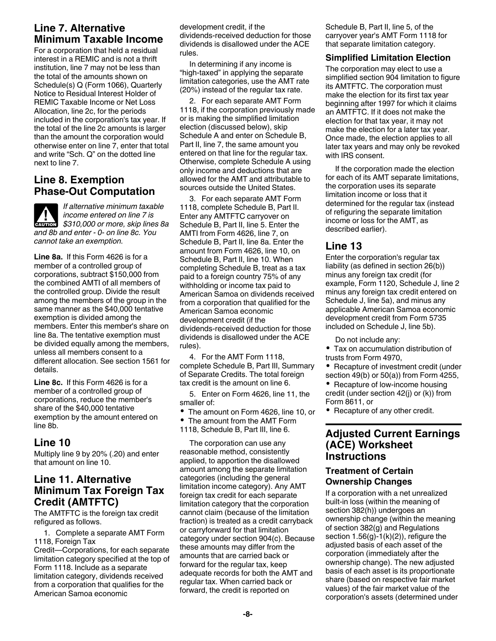# **Line 7. Alternative Minimum Taxable Income**

For a corporation that held a residual interest in a REMIC and is not a thrift institution, line 7 may not be less than the total of the amounts shown on Schedule(s) Q (Form 1066), Quarterly Notice to Residual Interest Holder of REMIC Taxable Income or Net Loss Allocation, line 2c, for the periods included in the corporation's tax year. If the total of the line 2c amounts is larger than the amount the corporation would otherwise enter on line 7, enter that total and write "Sch. Q" on the dotted line next to line 7.

## **Line 8. Exemption Phase-Out Computation**

*If alternative minimum taxable income entered on line 7 is*  **CAUTION** *income entered on line 7 is*<br>
\$310,000 or more, skip lines 8a *and 8b and enter - 0- on line 8c. You cannot take an exemption.*

**Line 8a.** If this Form 4626 is for a member of a controlled group of corporations, subtract \$150,000 from the combined AMTI of all members of the controlled group. Divide the result among the members of the group in the same manner as the \$40,000 tentative exemption is divided among the members. Enter this member's share on line 8a. The tentative exemption must be divided equally among the members, unless all members consent to a different allocation. See section 1561 for details.

**Line 8c.** If this Form 4626 is for a member of a controlled group of corporations, reduce the member's share of the \$40,000 tentative exemption by the amount entered on line 8b.

## **Line 10**

Multiply line 9 by 20% (.20) and enter that amount on line 10.

# **Line 11. Alternative Minimum Tax Foreign Tax Credit (AMTFTC)**

The AMTFTC is the foreign tax credit refigured as follows.

1. Complete a separate AMT Form 1118, Foreign Tax

Credit—Corporations, for each separate limitation category specified at the top of Form 1118. Include as a separate limitation category, dividends received from a corporation that qualifies for the American Samoa economic

development credit, if the dividends-received deduction for those dividends is disallowed under the ACE rules.

In determining if any income is "high-taxed" in applying the separate limitation categories, use the AMT rate (20%) instead of the regular tax rate.

2. For each separate AMT Form 1118, if the corporation previously made or is making the simplified limitation election (discussed below), skip Schedule A and enter on Schedule B, Part II, line 7, the same amount you entered on that line for the regular tax. Otherwise, complete Schedule A using only income and deductions that are allowed for the AMT and attributable to sources outside the United States.

3. For each separate AMT Form 1118, complete Schedule B, Part II. Enter any AMTFTC carryover on Schedule B, Part II, line 5. Enter the AMTI from Form 4626, line 7, on Schedule B, Part II, line 8a. Enter the amount from Form 4626, line 10, on Schedule B, Part II, line 10. When completing Schedule B, treat as a tax paid to a foreign country 75% of any withholding or income tax paid to American Samoa on dividends received from a corporation that qualified for the American Samoa economic development credit (if the dividends-received deduction for those dividends is disallowed under the ACE rules).

4. For the AMT Form 1118, complete Schedule B, Part III, Summary of Separate Credits. The total foreign tax credit is the amount on line 6.

5. Enter on Form 4626, line 11, the smaller of:

- The amount on Form 4626, line 10, or
- The amount from the AMT Form
- 1118, Schedule B, Part III, line 6.

The corporation can use any reasonable method, consistently applied, to apportion the disallowed amount among the separate limitation categories (including the general limitation income category). Any AMT foreign tax credit for each separate limitation category that the corporation cannot claim (because of the limitation fraction) is treated as a credit carryback or carryforward for that limitation category under section 904(c). Because these amounts may differ from the amounts that are carried back or forward for the regular tax, keep adequate records for both the AMT and regular tax. When carried back or forward, the credit is reported on

Schedule B, Part II, line 5, of the carryover year's AMT Form 1118 for that separate limitation category.

### **Simplified Limitation Election**

The corporation may elect to use a simplified section 904 limitation to figure its AMTFTC. The corporation must make the election for its first tax year beginning after 1997 for which it claims an AMTFTC. If it does not make the election for that tax year, it may not make the election for a later tax year. Once made, the election applies to all later tax years and may only be revoked with IRS consent.

If the corporation made the election for each of its AMT separate limitations, the corporation uses its separate limitation income or loss that it determined for the regular tax (instead of refiguring the separate limitation income or loss for the AMT, as described earlier).

# **Line 13**

Enter the corporation's regular tax liability (as defined in section 26(b)) minus any foreign tax credit (for example, Form 1120, Schedule J, line 2 minus any foreign tax credit entered on Schedule J, line 5a), and minus any applicable American Samoa economic development credit from Form 5735 included on Schedule J, line 5b).

Do not include any:

- Tax on accumulation distribution of trusts from Form 4970,
- Recapture of investment credit (under section 49(b) or 50(a)) from Form 4255,
- Recapture of low-income housing credit (under section 42(j) or (k)) from Form 8611, or

• Recapture of any other credit.

## **Adjusted Current Earnings (ACE) Worksheet Instructions**

## **Treatment of Certain Ownership Changes**

If a corporation with a net unrealized built-in loss (within the meaning of section 382(h)) undergoes an ownership change (within the meaning of section 382(g) and Regulations section  $1.56(g)-1(k)(2)$ , refigure the adjusted basis of each asset of the corporation (immediately after the ownership change). The new adjusted basis of each asset is its proportionate share (based on respective fair market values) of the fair market value of the corporation's assets (determined under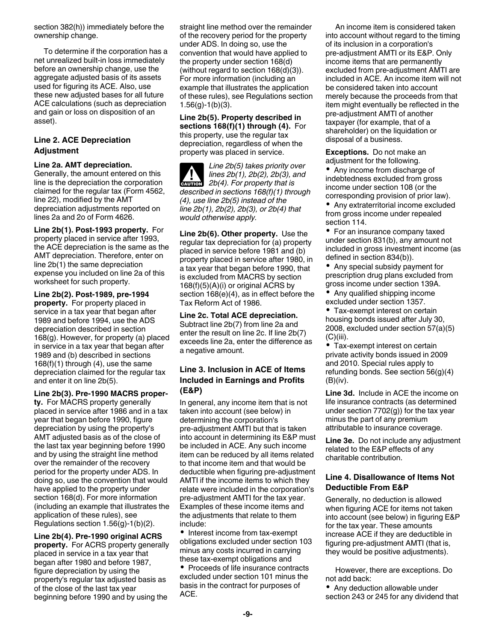section 382(h)) immediately before the ownership change.

To determine if the corporation has a net unrealized built-in loss immediately before an ownership change, use the aggregate adjusted basis of its assets used for figuring its ACE. Also, use these new adjusted bases for all future ACE calculations (such as depreciation and gain or loss on disposition of an asset).

#### **Line 2. ACE Depreciation Adjustment**

#### **Line 2a. AMT depreciation.**

Generally, the amount entered on this line is the depreciation the corporation claimed for the regular tax (Form 4562, line 22), modified by the AMT depreciation adjustments reported on lines 2a and 2o of Form 4626.

**Line 2b(1). Post-1993 property.** For property placed in service after 1993, the ACE depreciation is the same as the AMT depreciation. Therefore, enter on line 2b(1) the same depreciation expense you included on line 2a of this worksheet for such property.

**Line 2b(2). Post-1989, pre-1994 property.** For property placed in service in a tax year that began after 1989 and before 1994, use the ADS depreciation described in section 168(g). However, for property (a) placed in service in a tax year that began after 1989 and (b) described in sections 168(f)(1) through (4), use the same depreciation claimed for the regular tax and enter it on line 2b(5).

#### **Line 2b(3). Pre-1990 MACRS proper-**

**ty.** For MACRS property generally placed in service after 1986 and in a tax year that began before 1990, figure depreciation by using the property's AMT adjusted basis as of the close of the last tax year beginning before 1990 and by using the straight line method over the remainder of the recovery period for the property under ADS. In doing so, use the convention that would have applied to the property under section 168(d). For more information (including an example that illustrates the application of these rules), see Regulations section 1.56(g)-1(b)(2).

**Line 2b(4). Pre-1990 original ACRS property.** For ACRS property generally placed in service in a tax year that began after 1980 and before 1987, figure depreciation by using the property's regular tax adjusted basis as of the close of the last tax year beginning before 1990 and by using the

straight line method over the remainder of the recovery period for the property under ADS. In doing so, use the convention that would have applied to the property under section 168(d) (without regard to section 168(d)(3)). For more information (including an example that illustrates the application of these rules), see Regulations section  $1.56(g)-1(b)(3)$ .

**Line 2b(5). Property described in sections 168(f)(1) through (4).** For this property, use the regular tax depreciation, regardless of when the property was placed in service.

*Line 2b(5) takes priority over lines 2b(1), 2b(2), 2b(3), and*   $\frac{2b(4)}{2b(4)}$ . For property that is *described in sections 168(f)(1) through (4), use line 2b(5) instead of the line 2b(1), 2b(2), 2b(3), or 2b(4) that would otherwise apply.*

**Line 2b(6). Other property.** Use the regular tax depreciation for (a) property placed in service before 1981 and (b) property placed in service after 1980, in a tax year that began before 1990, that is excluded from MACRS by section 168(f)(5)(A)(i) or original ACRS by section 168(e)(4), as in effect before the Tax Reform Act of 1986.

**Line 2c. Total ACE depreciation.**  Subtract line 2b(7) from line 2a and enter the result on line 2c. If line 2b(7) exceeds line 2a, enter the difference as a negative amount.

#### **Line 3. Inclusion in ACE of Items Included in Earnings and Profits (E&P)**

In general, any income item that is not taken into account (see below) in determining the corporation's pre-adjustment AMTI but that is taken into account in determining its E&P must be included in ACE. Any such income item can be reduced by all items related to that income item and that would be deductible when figuring pre-adjustment AMTI if the income items to which they relate were included in the corporation's pre-adjustment AMTI for the tax year. Examples of these income items and the adjustments that relate to them include:

• Interest income from tax-exempt obligations excluded under section 103 minus any costs incurred in carrying these tax-exempt obligations and

• Proceeds of life insurance contracts excluded under section 101 minus the basis in the contract for purposes of ACE.

An income item is considered taken into account without regard to the timing of its inclusion in a corporation's pre-adjustment AMTI or its E&P. Only income items that are permanently excluded from pre-adjustment AMTI are included in ACE. An income item will not be considered taken into account merely because the proceeds from that item might eventually be reflected in the pre-adjustment AMTI of another taxpayer (for example, that of a shareholder) on the liquidation or disposal of a business.

**Exceptions.** Do not make an adjustment for the following.

Any income from discharge of indebtedness excluded from gross income under section 108 (or the corresponding provision of prior law).

Any extraterritorial income excluded from gross income under repealed section 114.

For an insurance company taxed under section 831(b), any amount not included in gross investment income (as defined in section 834(b)).

• Any special subsidy payment for prescription drug plans excluded from gross income under section 139A.

 $\bullet$ Any qualified shipping income excluded under section 1357.

• Tax-exempt interest on certain housing bonds issued after July 30, 2008, excluded under section 57(a)(5)  $(C)(iii)$ .

Tax-exempt interest on certain private activity bonds issued in 2009 and 2010. Special rules apply to refunding bonds. See section 56(g)(4) (B)(iv).

**Line 3d.** Include in ACE the income on life insurance contracts (as determined under section 7702(g)) for the tax year minus the part of any premium attributable to insurance coverage.

**Line 3e.** Do not include any adjustment related to the E&P effects of any charitable contribution.

#### **Line 4. Disallowance of Items Not Deductible From E&P**

Generally, no deduction is allowed when figuring ACE for items not taken into account (see below) in figuring E&P for the tax year. These amounts increase ACE if they are deductible in figuring pre-adjustment AMTI (that is, they would be positive adjustments).

However, there are exceptions. Do not add back:

Any deduction allowable under section 243 or 245 for any dividend that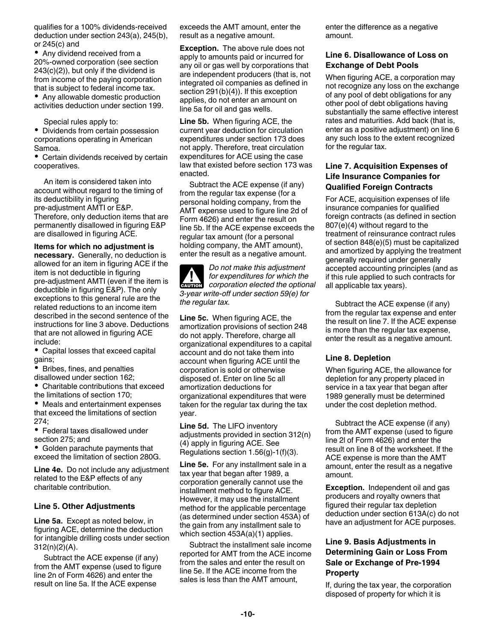qualifies for a 100% dividends-received deduction under section 243(a), 245(b), or 245(c) and

• Any dividend received from a 20%-owned corporation (see section 243(c)(2)), but only if the dividend is from income of the paying corporation that is subject to federal income tax.

• Any allowable domestic production activities deduction under section 199.

Special rules apply to:

Dividends from certain possession corporations operating in American Samoa.

Certain dividends received by certain cooperatives.

An item is considered taken into account without regard to the timing of its deductibility in figuring pre-adjustment AMTI or E&P. Therefore, only deduction items that are permanently disallowed in figuring E&P are disallowed in figuring ACE.

**Items for which no adjustment is necessary.** Generally, no deduction is allowed for an item in figuring ACE if the item is not deductible in figuring pre-adjustment AMTI (even if the item is deductible in figuring E&P). The only exceptions to this general rule are the related reductions to an income item described in the second sentence of the instructions for line 3 above. Deductions that are not allowed in figuring ACE include:

Capital losses that exceed capital gains;

Bribes, fines, and penalties

disallowed under section 162; Charitable contributions that exceed the limitations of section 170;

Meals and entertainment expenses that exceed the limitations of section  $274$ 

Federal taxes disallowed under section 275; and

• Golden parachute payments that exceed the limitation of section 280G.

**Line 4e.** Do not include any adjustment related to the E&P effects of any charitable contribution.

#### **Line 5. Other Adjustments**

**Line 5a.** Except as noted below, in figuring ACE, determine the deduction for intangible drilling costs under section 312(n)(2)(A).

Subtract the ACE expense (if any) from the AMT expense (used to figure line 2n of Form 4626) and enter the result on line 5a. If the ACE expense

exceeds the AMT amount, enter the result as a negative amount.

**Exception.** The above rule does not apply to amounts paid or incurred for any oil or gas well by corporations that are independent producers (that is, not integrated oil companies as defined in section 291(b)(4)). If this exception applies, do not enter an amount on line 5a for oil and gas wells.

**Line 5b.** When figuring ACE, the current year deduction for circulation expenditures under section 173 does not apply. Therefore, treat circulation expenditures for ACE using the case law that existed before section 173 was enacted.

Subtract the ACE expense (if any) from the regular tax expense (for a personal holding company, from the AMT expense used to figure line 2d of Form 4626) and enter the result on line 5b. If the ACE expense exceeds the regular tax amount (for a personal holding company, the AMT amount), enter the result as a negative amount.



*Do not make this adjustment for expenditures for which the corporation elected the optional 3-year write-off under section 59(e) for the regular tax.*

**Line 5c.** When figuring ACE, the amortization provisions of section 248 do not apply. Therefore, charge all organizational expenditures to a capital account and do not take them into account when figuring ACE until the corporation is sold or otherwise disposed of. Enter on line 5c all amortization deductions for organizational expenditures that were taken for the regular tax during the tax year.

**Line 5d.** The LIFO inventory adjustments provided in section 312(n) (4) apply in figuring ACE. See Regulations section 1.56(g)-1(f)(3).

**Line 5e.** For any installment sale in a tax year that began after 1989, a corporation generally cannot use the installment method to figure ACE. However, it may use the installment method for the applicable percentage (as determined under section 453A) of the gain from any installment sale to which section 453A(a)(1) applies.

Subtract the installment sale income reported for AMT from the ACE income from the sales and enter the result on line 5e. If the ACE income from the sales is less than the AMT amount,

enter the difference as a negative amount.

#### **Line 6. Disallowance of Loss on Exchange of Debt Pools**

When figuring ACE, a corporation may not recognize any loss on the exchange of any pool of debt obligations for any other pool of debt obligations having substantially the same effective interest rates and maturities. Add back (that is, enter as a positive adjustment) on line 6 any such loss to the extent recognized for the regular tax.

### **Line 7. Acquisition Expenses of Life Insurance Companies for Qualified Foreign Contracts**

For ACE, acquisition expenses of life insurance companies for qualified foreign contracts (as defined in section 807(e)(4) without regard to the treatment of reinsurance contract rules of section 848(e)(5) must be capitalized and amortized by applying the treatment generally required under generally accepted accounting principles (and as if this rule applied to such contracts for all applicable tax years).

Subtract the ACE expense (if any) from the regular tax expense and enter the result on line 7. If the ACE expense is more than the regular tax expense, enter the result as a negative amount.

#### **Line 8. Depletion**

When figuring ACE, the allowance for depletion for any property placed in service in a tax year that began after 1989 generally must be determined under the cost depletion method.

Subtract the ACE expense (if any) from the AMT expense (used to figure line 2l of Form 4626) and enter the result on line 8 of the worksheet. If the ACE expense is more than the AMT amount, enter the result as a negative amount.

**Exception.** Independent oil and gas producers and royalty owners that figured their regular tax depletion deduction under section 613A(c) do not have an adjustment for ACE purposes.

#### **Line 9. Basis Adjustments in Determining Gain or Loss From Sale or Exchange of Pre-1994 Property**

If, during the tax year, the corporation disposed of property for which it is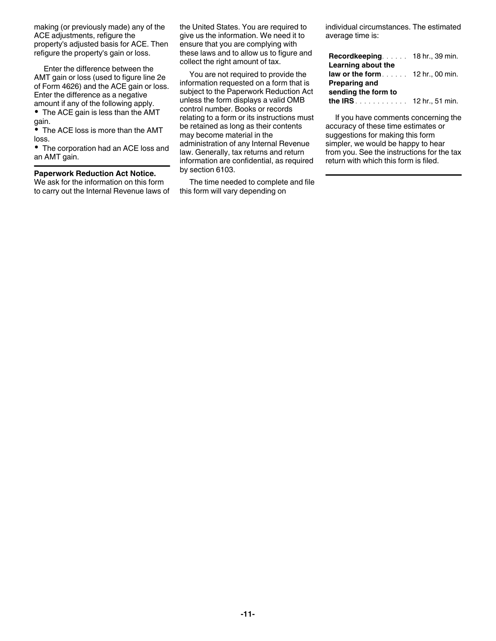making (or previously made) any of the ACE adjustments, refigure the property's adjusted basis for ACE. Then refigure the property's gain or loss.

Enter the difference between the AMT gain or loss (used to figure line 2e of Form 4626) and the ACE gain or loss. Enter the difference as a negative amount if any of the following apply.

• The ACE gain is less than the AMT gain.

• The ACE loss is more than the AMT loss.

The corporation had an ACE loss and an AMT gain.

#### **Paperwork Reduction Act Notice.**

We ask for the information on this form to carry out the Internal Revenue laws of the United States. You are required to give us the information. We need it to ensure that you are complying with these laws and to allow us to figure and collect the right amount of tax.

You are not required to provide the information requested on a form that is subject to the Paperwork Reduction Act unless the form displays a valid OMB control number. Books or records relating to a form or its instructions must be retained as long as their contents may become material in the administration of any Internal Revenue law. Generally, tax returns and return information are confidential, as required by section 6103.

The time needed to complete and file this form will vary depending on

individual circumstances. The estimated average time is:

| Learning about the                       |  |
|------------------------------------------|--|
| law or the form $\ldots$ 12 hr., 00 min. |  |
| <b>Preparing and</b>                     |  |
| sending the form to                      |  |
| <b>the IRS</b> $\ldots$ 12 hr., 51 min.  |  |

If you have comments concerning the accuracy of these time estimates or suggestions for making this form simpler, we would be happy to hear from you. See the instructions for the tax return with which this form is filed.